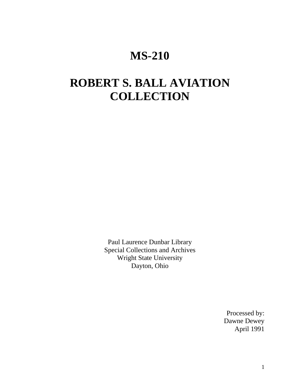## **MS-210**

# **ROBERT S. BALL AVIATION COLLECTION**

Paul Laurence Dunbar Library Special Collections and Archives Wright State University Dayton, Ohio

> Processed by: Dawne Dewey April 1991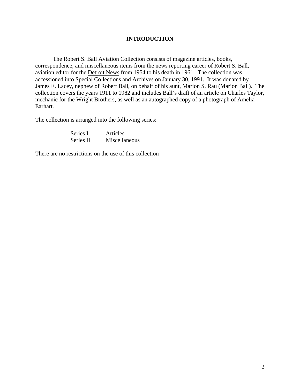#### **INTRODUCTION**

The Robert S. Ball Aviation Collection consists of magazine articles, books, correspondence, and miscellaneous items from the news reporting career of Robert S. Ball, aviation editor for the Detroit News from 1954 to his death in 1961. The collection was accessioned into Special Collections and Archives on January 30, 1991. It was donated by James E. Lacey, nephew of Robert Ball, on behalf of his aunt, Marion S. Rau (Marion Ball). The collection covers the years 1911 to 1982 and includes Ball's draft of an article on Charles Taylor, mechanic for the Wright Brothers, as well as an autographed copy of a photograph of Amelia Earhart.

The collection is arranged into the following series:

| Series I  | Articles      |
|-----------|---------------|
| Series II | Miscellaneous |

There are no restrictions on the use of this collection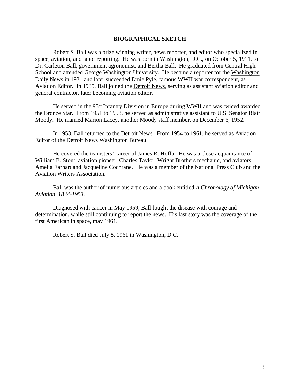#### **BIOGRAPHICAL SKETCH**

Robert S. Ball was a prize winning writer, news reporter, and editor who specialized in space, aviation, and labor reporting. He was born in Washington, D.C., on October 5, 1911, to Dr. Carleton Ball, government agronomist, and Bertha Ball. He graduated from Central High School and attended George Washington University. He became a reporter for the Washington Daily News in 1931 and later succeeded Ernie Pyle, famous WWII war correspondent, as Aviation Editor. In 1935, Ball joined the Detroit News, serving as assistant aviation editor and general contractor, later becoming aviation editor.

He served in the 95<sup>th</sup> Infantry Division in Europe during WWII and was twiced awarded the Bronze Star. From 1951 to 1953, he served as administrative assistant to U.S. Senator Blair Moody. He married Marion Lacey, another Moody staff member, on December 6, 1952.

In 1953, Ball returned to the Detroit News. From 1954 to 1961, he served as Aviation Editor of the Detroit News Washington Bureau.

He covered the teamsters' career of James R. Hoffa. He was a close acquaintance of William B. Stout, aviation pioneer, Charles Taylor, Wright Brothers mechanic, and aviators Amelia Earhart and Jacqueline Cochrane. He was a member of the National Press Club and the Aviation Writers Association.

Ball was the author of numerous articles and a book entitled *A Chronology of Michigan Aviation, 1834-1953.* 

Diagnosed with cancer in May 1959, Ball fought the disease with courage and determination, while still continuing to report the news. His last story was the coverage of the first American in space, may 1961.

Robert S. Ball died July 8, 1961 in Washington, D.C.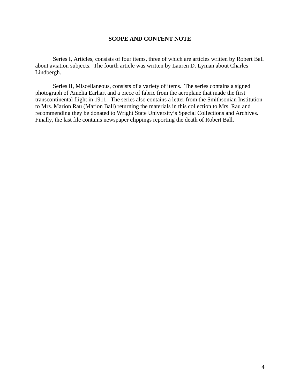#### **SCOPE AND CONTENT NOTE**

Series I, Articles, consists of four items, three of which are articles written by Robert Ball about aviation subjects. The fourth article was written by Lauren D. Lyman about Charles Lindbergh.

Series II, Miscellaneous, consists of a variety of items. The series contains a signed photograph of Amelia Earhart and a piece of fabric from the aeroplane that made the first transcontinental flight in 1911. The series also contains a letter from the Smithsonian Institution to Mrs. Marion Rau (Marion Ball) returning the materials in this collection to Mrs. Rau and recommending they be donated to Wright State University's Special Collections and Archives. Finally, the last file contains newspaper clippings reporting the death of Robert Ball.